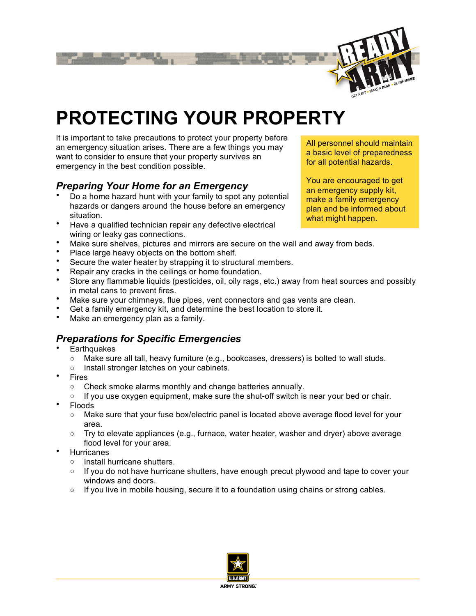

# **PROTECTING YOUR PROPERTY**

It is important to take precautions to protect your property before an emergency situation arises. There are a few things you may want to consider to ensure that your property survives an emergency in the best condition possible.

### *Preparing Your Home for an Emergency*

- Do a home hazard hunt with your family to spot any potential hazards or dangers around the house before an emergency situation.
- Have a qualified technician repair any defective electrical wiring or leaky gas connections.
- Make sure shelves, pictures and mirrors are secure on the wall and away from beds.<br>• Make sure shelves, pictures and mirrors are secure on the wall and away from beds. raway from beds.
- Place large heavy objects on the bottom shelf.
- Secure the water heater by strapping it to structural members.
- Repair any cracks in the ceilings or home foundation.
- Store any flammable liquids (pesticides, oil, oily rags, etc.) away from heat sources and possibly in metal cans to prevent fires.
- Make sure your chimneys, flue pipes, vent connectors and gas vents are clean.
- Get a family emergency kit, and determine the best location to store it.
- Make an emergency plan as a family.

## *Preparations for Specific Emergencies*

- **Earthquakes** 
	- Make sure all tall, heavy furniture (e.g., bookcases, dressers) is bolted to wall studs.
	- Install stronger latches on your cabinets.
- **Fires** 
	- Check smoke alarms monthly and change batteries annually.
	- $\circ$  If you use oxygen equipment, make sure the shut-off switch is near your bed or chair.
- Floods
	- Make sure that your fuse box/electric panel is located above average flood level for your area.
	- $\circ$  Try to elevate appliances (e.g., furnace, water heater, washer and dryer) above average flood level for your area.
- **Hurricanes** 
	- Install hurricane shutters.
	- If you do not have hurricane shutters, have enough precut plywood and tape to cover your windows and doors.
	- $\circ$  If you live in mobile housing, secure it to a foundation using chains or strong cables.



All personnel should maintain a basic level of preparedness for all potential hazards.

You are encouraged to get an emergency supply kit, make a family emergency plan and be informed about what might happen.

All personnel should maintain